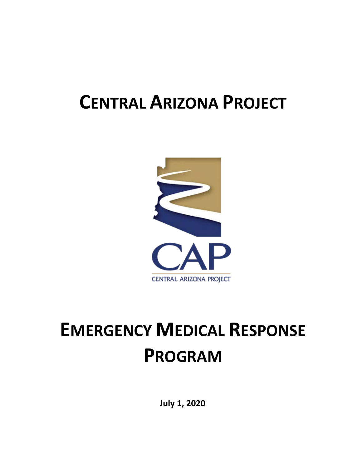## **CENTRAL ARIZONA PROJECT**



# **EMERGENCY MEDICAL RESPONSE PROGRAM**

**July 1, 2020**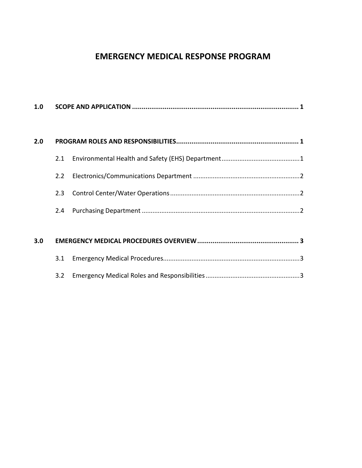### **EMERGENCY MEDICAL RESPONSE PROGRAM**

| 1.0 |               |  |  |
|-----|---------------|--|--|
| 2.0 |               |  |  |
|     | 2.1           |  |  |
|     | 2.2           |  |  |
|     | 2.3           |  |  |
|     | $2.4^{\circ}$ |  |  |
|     |               |  |  |
| 3.0 |               |  |  |
|     | 3.1           |  |  |
|     | 3.2           |  |  |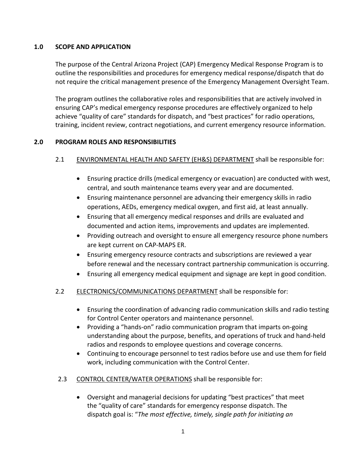#### **1.0 SCOPE AND APPLICATION**

The purpose of the Central Arizona Project (CAP) Emergency Medical Response Program is to outline the responsibilities and procedures for emergency medical response/dispatch that do not require the critical management presence of the Emergency Management Oversight Team.

The program outlines the collaborative roles and responsibilities that are actively involved in ensuring CAP's medical emergency response procedures are effectively organized to help achieve "quality of care" standards for dispatch, and "best practices" for radio operations, training, incident review, contract negotiations, and current emergency resource information.

#### **2.0 PROGRAM ROLES AND RESPONSIBILITIES**

#### 2.1 ENVIRONMENTAL HEALTH AND SAFETY (EH&S) DEPARTMENT shall be responsible for:

- Ensuring practice drills (medical emergency or evacuation) are conducted with west, central, and south maintenance teams every year and are documented.
- Ensuring maintenance personnel are advancing their emergency skills in radio operations, AEDs, emergency medical oxygen, and first aid, at least annually.
- Ensuring that all emergency medical responses and drills are evaluated and documented and action items, improvements and updates are implemented.
- Providing outreach and oversight to ensure all emergency resource phone numbers are kept current on CAP-MAPS ER.
- Ensuring emergency resource contracts and subscriptions are reviewed a year before renewal and the necessary contract partnership communication is occurring.
- Ensuring all emergency medical equipment and signage are kept in good condition.

#### 2.2 ELECTRONICS/COMMUNICATIONS DEPARTMENT shall be responsible for:

- Ensuring the coordination of advancing radio communication skills and radio testing for Control Center operators and maintenance personnel.
- Providing a "hands-on" radio communication program that imparts on-going understanding about the purpose, benefits, and operations of truck and hand-held radios and responds to employee questions and coverage concerns.
- Continuing to encourage personnel to test radios before use and use them for field work, including communication with the Control Center.
- 2.3 CONTROL CENTER/WATER OPERATIONS shall be responsible for:
	- Oversight and managerial decisions for updating "best practices" that meet the "quality of care" standards for emergency response dispatch. The dispatch goal is: "*The most effective, timely, single path for initiating an*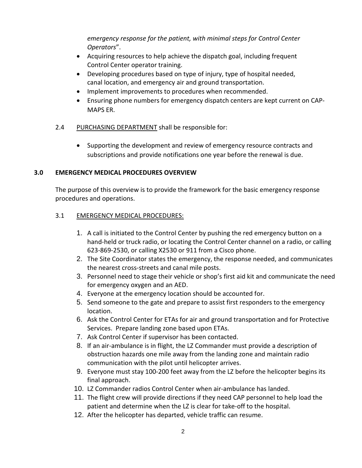*emergency response for the patient, with minimal steps for Control Center Operators*".

- Acquiring resources to help achieve the dispatch goal, including frequent Control Center operator training.
- Developing procedures based on type of injury, type of hospital needed, canal location, and emergency air and ground transportation.
- Implement improvements to procedures when recommended.
- Ensuring phone numbers for emergency dispatch centers are kept current on CAP-MAPS ER.
- 2.4 PURCHASING DEPARTMENT shall be responsible for:
	- Supporting the development and review of emergency resource contracts and subscriptions and provide notifications one year before the renewal is due.

#### **3.0 EMERGENCY MEDICAL PROCEDURES OVERVIEW**

The purpose of this overview is to provide the framework for the basic emergency response procedures and operations.

#### 3.1 EMERGENCY MEDICAL PROCEDURES:

- 1. A call is initiated to the Control Center by pushing the red emergency button on a hand-held or truck radio, or locating the Control Center channel on a radio, or calling 623-869-2530, or calling X2530 or 911 from a Cisco phone.
- 2. The Site Coordinator states the emergency, the response needed, and communicates the nearest cross-streets and canal mile posts.
- 3. Personnel need to stage their vehicle or shop's first aid kit and communicate the need for emergency oxygen and an AED.
- 4. Everyone at the emergency location should be accounted for.
- 5. Send someone to the gate and prepare to assist first responders to the emergency location.
- 6. Ask the Control Center for ETAs for air and ground transportation and for Protective Services. Prepare landing zone based upon ETAs.
- 7. Ask Control Center if supervisor has been contacted.
- 8. If an air-ambulance is in flight, the LZ Commander must provide a description of obstruction hazards one mile away from the landing zone and maintain radio communication with the pilot until helicopter arrives.
- 9. Everyone must stay 100-200 feet away from the LZ before the helicopter begins its final approach.
- 10. LZ Commander radios Control Center when air-ambulance has landed.
- 11. The flight crew will provide directions if they need CAP personnel to help load the patient and determine when the LZ is clear for take-off to the hospital.
- 12. After the helicopter has departed, vehicle traffic can resume.